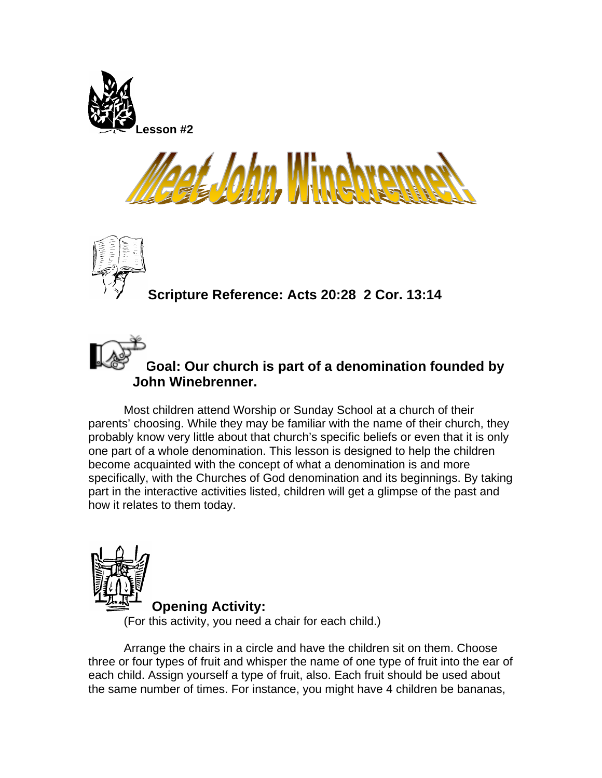





**Goal: Our church is part of a denomination founded by John Winebrenner.** 

Most children attend Worship or Sunday School at a church of their parents' choosing. While they may be familiar with the name of their church, they probably know very little about that church's specific beliefs or even that it is only one part of a whole denomination. This lesson is designed to help the children become acquainted with the concept of what a denomination is and more specifically, with the Churches of God denomination and its beginnings. By taking part in the interactive activities listed, children will get a glimpse of the past and how it relates to them today.



**Opening Activity:** 

(For this activity, you need a chair for each child.)

Arrange the chairs in a circle and have the children sit on them. Choose three or four types of fruit and whisper the name of one type of fruit into the ear of each child. Assign yourself a type of fruit, also. Each fruit should be used about the same number of times. For instance, you might have 4 children be bananas,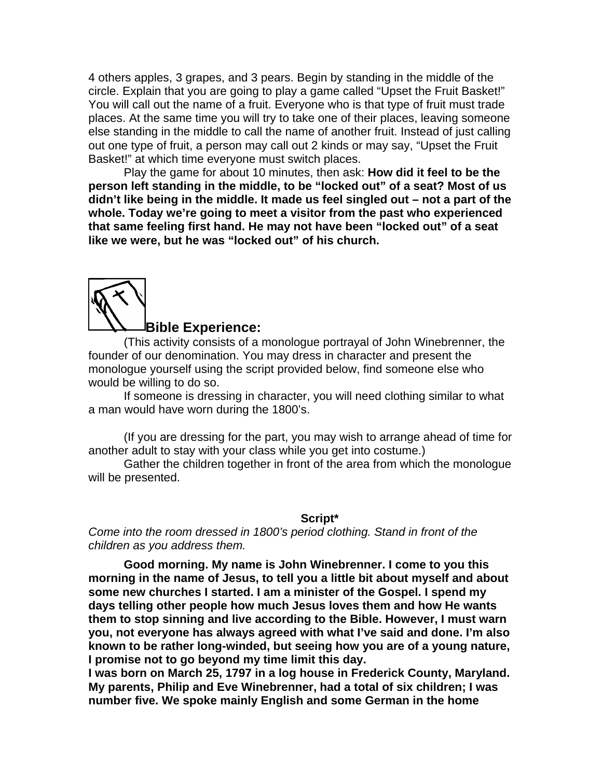4 others apples, 3 grapes, and 3 pears. Begin by standing in the middle of the circle. Explain that you are going to play a game called "Upset the Fruit Basket!" You will call out the name of a fruit. Everyone who is that type of fruit must trade places. At the same time you will try to take one of their places, leaving someone else standing in the middle to call the name of another fruit. Instead of just calling out one type of fruit, a person may call out 2 kinds or may say, "Upset the Fruit Basket!" at which time everyone must switch places.

Play the game for about 10 minutes, then ask: **How did it feel to be the person left standing in the middle, to be "locked out" of a seat? Most of us didn't like being in the middle. It made us feel singled out – not a part of the whole. Today we're going to meet a visitor from the past who experienced that same feeling first hand. He may not have been "locked out" of a seat like we were, but he was "locked out" of his church.** 



## **Bible Experience:**

(This activity consists of a monologue portrayal of John Winebrenner, the founder of our denomination. You may dress in character and present the monologue yourself using the script provided below, find someone else who would be willing to do so.

If someone is dressing in character, you will need clothing similar to what a man would have worn during the 1800's.

(If you are dressing for the part, you may wish to arrange ahead of time for another adult to stay with your class while you get into costume.)

Gather the children together in front of the area from which the monologue will be presented.

## **Script\***

*Come into the room dressed in 1800's period clothing. Stand in front of the children as you address them.* 

**Good morning. My name is John Winebrenner. I come to you this morning in the name of Jesus, to tell you a little bit about myself and about some new churches I started. I am a minister of the Gospel. I spend my days telling other people how much Jesus loves them and how He wants them to stop sinning and live according to the Bible. However, I must warn you, not everyone has always agreed with what I've said and done. I'm also known to be rather long-winded, but seeing how you are of a young nature, I promise not to go beyond my time limit this day.**

**I was born on March 25, 1797 in a log house in Frederick County, Maryland. My parents, Philip and Eve Winebrenner, had a total of six children; I was number five. We spoke mainly English and some German in the home**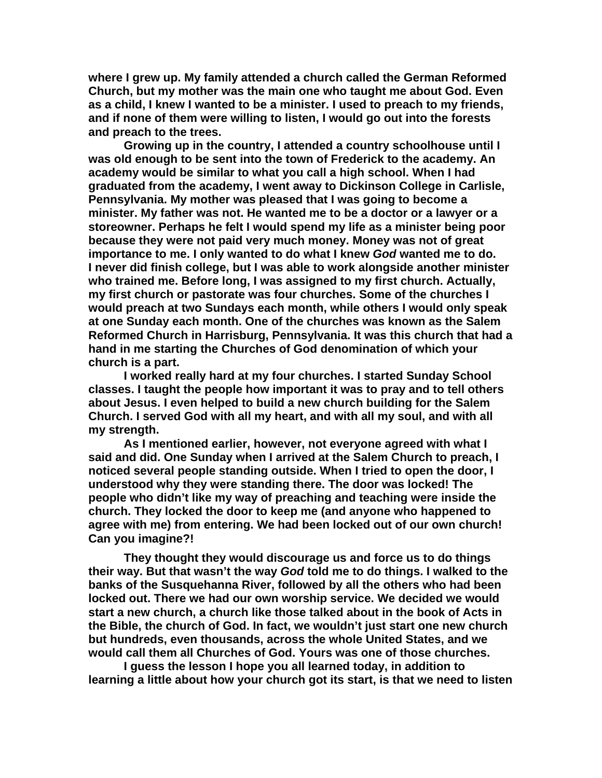**where I grew up. My family attended a church called the German Reformed Church, but my mother was the main one who taught me about God. Even as a child, I knew I wanted to be a minister. I used to preach to my friends, and if none of them were willing to listen, I would go out into the forests and preach to the trees.** 

**Growing up in the country, I attended a country schoolhouse until I was old enough to be sent into the town of Frederick to the academy. An academy would be similar to what you call a high school. When I had graduated from the academy, I went away to Dickinson College in Carlisle, Pennsylvania. My mother was pleased that I was going to become a minister. My father was not. He wanted me to be a doctor or a lawyer or a storeowner. Perhaps he felt I would spend my life as a minister being poor because they were not paid very much money. Money was not of great importance to me. I only wanted to do what I knew** *God* **wanted me to do. I never did finish college, but I was able to work alongside another minister who trained me. Before long, I was assigned to my first church. Actually, my first church or pastorate was four churches. Some of the churches I would preach at two Sundays each month, while others I would only speak at one Sunday each month. One of the churches was known as the Salem Reformed Church in Harrisburg, Pennsylvania. It was this church that had a hand in me starting the Churches of God denomination of which your church is a part.** 

**I worked really hard at my four churches. I started Sunday School classes. I taught the people how important it was to pray and to tell others about Jesus. I even helped to build a new church building for the Salem Church. I served God with all my heart, and with all my soul, and with all my strength.** 

**As I mentioned earlier, however, not everyone agreed with what I said and did. One Sunday when I arrived at the Salem Church to preach, I noticed several people standing outside. When I tried to open the door, I understood why they were standing there. The door was locked! The people who didn't like my way of preaching and teaching were inside the church. They locked the door to keep me (and anyone who happened to agree with me) from entering. We had been locked out of our own church! Can you imagine?!** 

**They thought they would discourage us and force us to do things their way. But that wasn't the way** *God* **told me to do things. I walked to the banks of the Susquehanna River, followed by all the others who had been locked out. There we had our own worship service. We decided we would start a new church, a church like those talked about in the book of Acts in the Bible, the church of God. In fact, we wouldn't just start one new church but hundreds, even thousands, across the whole United States, and we would call them all Churches of God. Yours was one of those churches.** 

**I guess the lesson I hope you all learned today, in addition to learning a little about how your church got its start, is that we need to listen**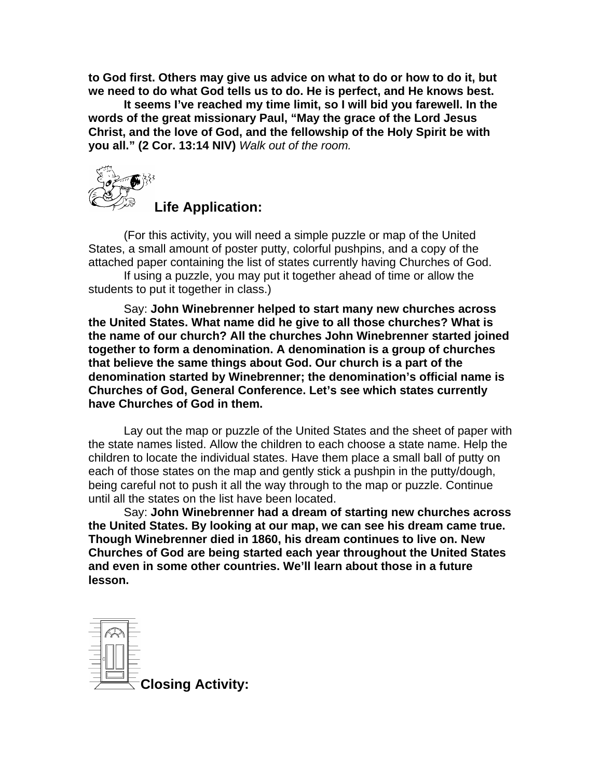**to God first. Others may give us advice on what to do or how to do it, but we need to do what God tells us to do. He is perfect, and He knows best.** 

**It seems I've reached my time limit, so I will bid you farewell. In the words of the great missionary Paul, "May the grace of the Lord Jesus Christ, and the love of God, and the fellowship of the Holy Spirit be with you all." (2 Cor. 13:14 NIV)** *Walk out of the room.* 



**Life Application:** 

(For this activity, you will need a simple puzzle or map of the United States, a small amount of poster putty, colorful pushpins, and a copy of the attached paper containing the list of states currently having Churches of God.

If using a puzzle, you may put it together ahead of time or allow the students to put it together in class.)

Say: **John Winebrenner helped to start many new churches across the United States. What name did he give to all those churches? What is the name of our church? All the churches John Winebrenner started joined together to form a denomination. A denomination is a group of churches that believe the same things about God. Our church is a part of the denomination started by Winebrenner; the denomination's official name is Churches of God, General Conference. Let's see which states currently have Churches of God in them.** 

Lay out the map or puzzle of the United States and the sheet of paper with the state names listed. Allow the children to each choose a state name. Help the children to locate the individual states. Have them place a small ball of putty on each of those states on the map and gently stick a pushpin in the putty/dough, being careful not to push it all the way through to the map or puzzle. Continue until all the states on the list have been located.

Say: **John Winebrenner had a dream of starting new churches across the United States. By looking at our map, we can see his dream came true. Though Winebrenner died in 1860, his dream continues to live on. New Churches of God are being started each year throughout the United States and even in some other countries. We'll learn about those in a future lesson.** 

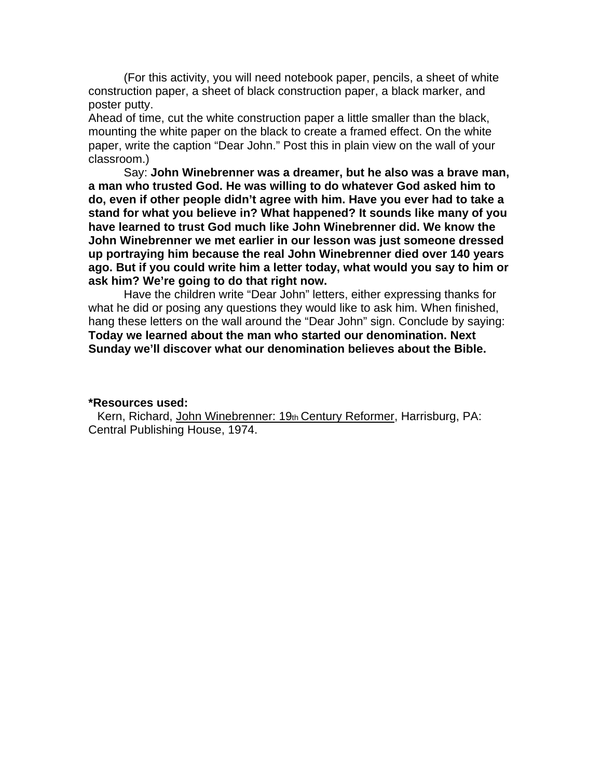(For this activity, you will need notebook paper, pencils, a sheet of white construction paper, a sheet of black construction paper, a black marker, and poster putty.

Ahead of time, cut the white construction paper a little smaller than the black, mounting the white paper on the black to create a framed effect. On the white paper, write the caption "Dear John." Post this in plain view on the wall of your classroom.)

Say: **John Winebrenner was a dreamer, but he also was a brave man, a man who trusted God. He was willing to do whatever God asked him to do, even if other people didn't agree with him. Have you ever had to take a stand for what you believe in? What happened? It sounds like many of you have learned to trust God much like John Winebrenner did. We know the John Winebrenner we met earlier in our lesson was just someone dressed up portraying him because the real John Winebrenner died over 140 years ago. But if you could write him a letter today, what would you say to him or ask him? We're going to do that right now.** 

Have the children write "Dear John" letters, either expressing thanks for what he did or posing any questions they would like to ask him. When finished, hang these letters on the wall around the "Dear John" sign. Conclude by saying: **Today we learned about the man who started our denomination. Next Sunday we'll discover what our denomination believes about the Bible.** 

## **\*Resources used:**

Kern, Richard, John Winebrenner: 19th Century Reformer, Harrisburg, PA: Central Publishing House, 1974.